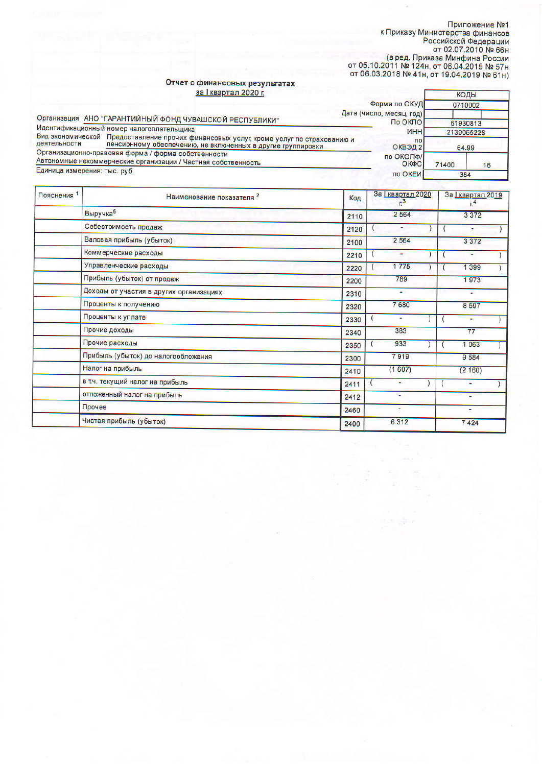Приложение №1<br>К Приказу Министерства финансов<br>Российской Федерации<br>от 02.07.2010 № 66н<br>(в ред. Приказа Минфина России<br>от 05.10.2011 № 124н, от 06.04.2015 № 57н<br>от 06.03.2018 № 41н, от 19.04.2019 № 61н)

T

коды

## Отчет о финансовых результатах<br>3al квартал 2020 г.

|                                                                                                                      |                                                                                                                                                       | Форма по ОКУД                    | 0710002             |    |
|----------------------------------------------------------------------------------------------------------------------|-------------------------------------------------------------------------------------------------------------------------------------------------------|----------------------------------|---------------------|----|
|                                                                                                                      | Дата (число, месяц, год)                                                                                                                              |                                  |                     |    |
| Организация АНО "ГАРАНТИЙНЫЙ ФОНД ЧУВАШСКОЙ РЕСПУБЛИКИ"<br>Идентификационный номер налогоплательщика                 |                                                                                                                                                       | По ОКПО                          | 61930813            |    |
| деятельности                                                                                                         | Вид экономической Предоставление прочих финансовых услуг, кроме услуг по страхованию и<br>пенсионному обеспечению, не включенных в другие группировки | ИНН<br>$\overline{ }$<br>ОКВЭД 2 | 2130065228<br>64.99 |    |
| Организационно-правовая форма / форма собственности<br>Автономные некоммерческие организации / Частная собственность |                                                                                                                                                       | по ОКОПФ/<br>ОКФС                | 71400               | 16 |
| Единица измерения: тыс. руб.                                                                                         |                                                                                                                                                       | по ОКЕИ                          | 384                 |    |

| Пояснения <sup>1</sup> | Наименование показателя <sup>2</sup>    | Код  | За 1 квартал 2020<br>За <u>I квартал</u> 2019<br>$r^3$ |                |
|------------------------|-----------------------------------------|------|--------------------------------------------------------|----------------|
|                        | Выручка <sup>5</sup>                    | 2110 | 2 5 6 4                                                | 3 3 7 2        |
|                        | Себестоимость продаж                    | 2120 | ۰                                                      | ٠              |
|                        | Валовая прибыль (убыток)                | 2100 | 2 5 6 4                                                | 3 3 7 2        |
|                        | Коммерческие расходы                    | 2210 | ٠                                                      | ٠              |
|                        | Управленческие расходы                  | 2220 | 1775                                                   | 1 399          |
|                        | Прибыль (убыток) от продаж              | 2200 | 789                                                    | 1973           |
|                        | Доходы от участия в других организациях | 2310 | $\blacksquare$                                         | $\sim$         |
|                        | Проценты к получению                    | 2320 | 7680                                                   | 8 5 9 7        |
|                        | Проценты к уплате                       | 2330 | ۰                                                      | ٠              |
|                        | Прочие доходы                           | 2340 | 383                                                    | 77             |
|                        | Прочие расходы                          | 2350 | 933                                                    | 1 0 6 3        |
|                        | Прибыль (убыток) до налогообложения     | 2300 | 7919                                                   | 9 5 8 4        |
|                        | Налог на прибыль                        | 2410 | (1607)                                                 | (2160)         |
|                        | в т.ч. текущий налог на прибыль         | 2411 | ۰.                                                     |                |
|                        | отложенный налог на прибыль             | 2412 | ٠.                                                     | $\blacksquare$ |
|                        | Прочее                                  | 2460 | ٠                                                      | ٠              |
|                        | Чистая прибыль (убыток)                 | 2400 | 6 3 1 2                                                | 7424           |